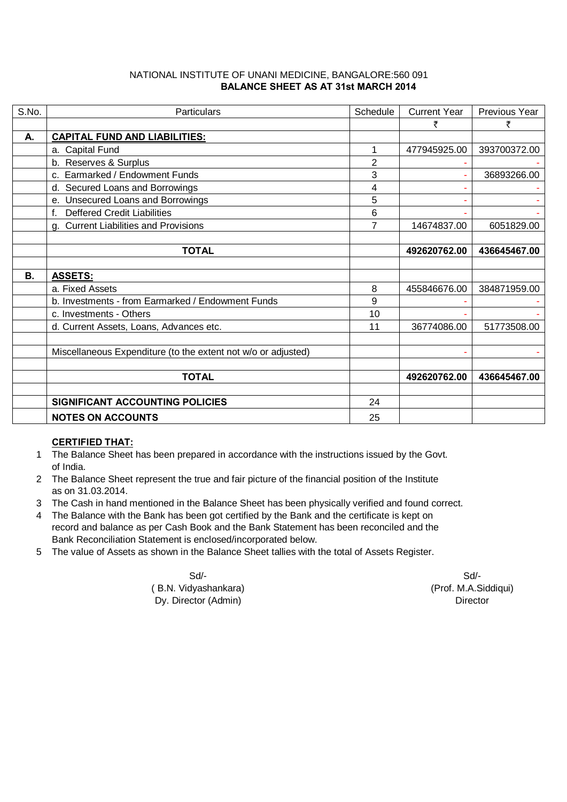### NATIONAL INSTITUTE OF UNANI MEDICINE, BANGALORE:560 091  **BALANCE SHEET AS AT 31st MARCH 2014**

| S.No. | <b>Particulars</b>                                            | Schedule | <b>Current Year</b> | Previous Year |
|-------|---------------------------------------------------------------|----------|---------------------|---------------|
|       |                                                               |          |                     | ₹             |
| А.    | <b>CAPITAL FUND AND LIABILITIES:</b>                          |          |                     |               |
|       | a. Capital Fund                                               | 1        | 477945925.00        | 393700372.00  |
|       | b. Reserves & Surplus                                         | 2        |                     |               |
|       | c. Earmarked / Endowment Funds                                | 3        |                     | 36893266.00   |
|       | d. Secured Loans and Borrowings                               | 4        |                     |               |
|       | e. Unsecured Loans and Borrowings                             | 5        |                     |               |
|       | f. Deffered Credit Liabilities                                | 6        |                     |               |
|       | g. Current Liabilities and Provisions                         | 7        | 14674837.00         | 6051829.00    |
|       |                                                               |          |                     |               |
|       | <b>TOTAL</b>                                                  |          | 492620762.00        | 436645467.00  |
|       |                                                               |          |                     |               |
| В.    | <b>ASSETS:</b>                                                |          |                     |               |
|       | a. Fixed Assets                                               | 8        | 455846676.00        | 384871959.00  |
|       | b. Investments - from Earmarked / Endowment Funds             | 9        |                     |               |
|       | c. Investments - Others                                       | 10       |                     |               |
|       | d. Current Assets, Loans, Advances etc.                       | 11       | 36774086.00         | 51773508.00   |
|       |                                                               |          |                     |               |
|       | Miscellaneous Expenditure (to the extent not w/o or adjusted) |          |                     |               |
|       |                                                               |          |                     |               |
|       | <b>TOTAL</b>                                                  |          | 492620762.00        | 436645467.00  |
|       |                                                               |          |                     |               |
|       | SIGNIFICANT ACCOUNTING POLICIES                               | 24       |                     |               |
|       | <b>NOTES ON ACCOUNTS</b>                                      | 25       |                     |               |

## **CERTIFIED THAT:**

- 1 The Balance Sheet has been prepared in accordance with the instructions issued by the Govt. of India.
- 2 The Balance Sheet represent the true and fair picture of the financial position of the Institute as on 31.03.2014.
- 3 The Cash in hand mentioned in the Balance Sheet has been physically verified and found correct.
- 4 The Balance with the Bank has been got certified by the Bank and the certificate is kept on record and balance as per Cash Book and the Bank Statement has been reconciled and the Bank Reconciliation Statement is enclosed/incorporated below.
- 5 The value of Assets as shown in the Balance Sheet tallies with the total of Assets Register.

Sd/- Sd/- ( B.N. Vidyashankara) (Prof. M.A.Siddiqui) (Prof. M.A.Siddiqui) Dy. Director (Admin)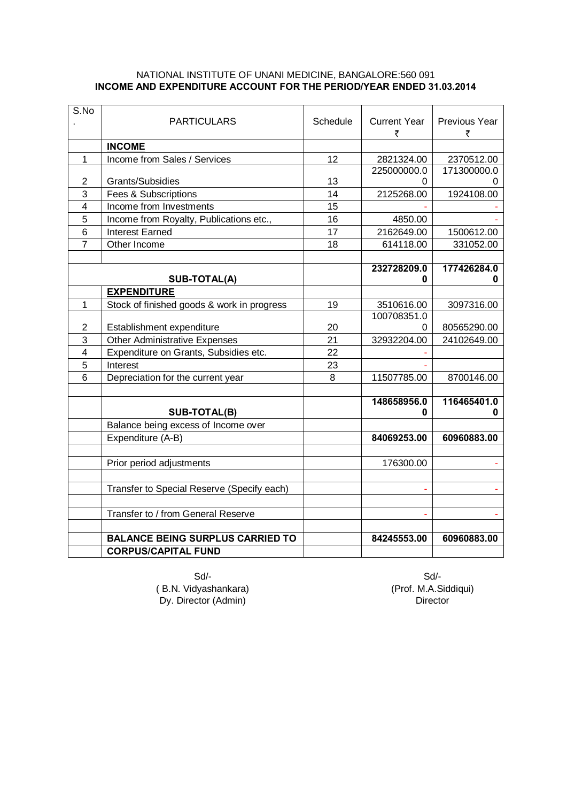#### NATIONAL INSTITUTE OF UNANI MEDICINE, BANGALORE:560 091 **INCOME AND EXPENDITURE ACCOUNT FOR THE PERIOD/YEAR ENDED 31.03.2014**

| S.No                    |                                            |          |                     |                      |
|-------------------------|--------------------------------------------|----------|---------------------|----------------------|
|                         | <b>PARTICULARS</b>                         | Schedule | <b>Current Year</b> | <b>Previous Year</b> |
|                         |                                            |          | ₹                   | ₹                    |
|                         | <b>INCOME</b>                              |          |                     |                      |
| $\mathbf{1}$            | Income from Sales / Services               | 12       | 2821324.00          | 2370512.00           |
|                         |                                            |          | 225000000.0         | 171300000.0          |
| $\overline{2}$          | <b>Grants/Subsidies</b>                    | 13       | 0                   |                      |
| 3                       | Fees & Subscriptions                       | 14       | 2125268.00          | 1924108.00           |
| $\overline{4}$          | Income from Investments                    | 15       |                     |                      |
| 5                       | Income from Royalty, Publications etc.,    | 16       | 4850.00             |                      |
| 6                       | <b>Interest Earned</b>                     | 17       | 2162649.00          | 1500612.00           |
| 7                       | Other Income                               | 18       | 614118.00           | 331052.00            |
|                         |                                            |          |                     |                      |
|                         |                                            |          | 232728209.0         | 177426284.0          |
|                         | SUB-TOTAL(A)                               |          | 0                   | 0                    |
|                         | <b>EXPENDITURE</b>                         |          |                     |                      |
| 1                       | Stock of finished goods & work in progress | 19       | 3510616.00          | 3097316.00           |
|                         |                                            |          | 100708351.0         |                      |
| 2                       | Establishment expenditure                  | 20       | 0                   | 80565290.00          |
| 3                       | <b>Other Administrative Expenses</b>       | 21       | 32932204.00         | 24102649.00          |
| $\overline{\mathbf{4}}$ | Expenditure on Grants, Subsidies etc.      | 22       |                     |                      |
| 5                       | Interest                                   | 23       |                     |                      |
| 6                       | Depreciation for the current year          | 8        | 11507785.00         | 8700146.00           |
|                         |                                            |          |                     |                      |
|                         |                                            |          | 148658956.0         | 116465401.0          |
|                         | SUB-TOTAL(B)                               |          | 0                   | 0                    |
|                         | Balance being excess of Income over        |          |                     |                      |
|                         | Expenditure (A-B)                          |          | 84069253.00         | 60960883.00          |
|                         |                                            |          |                     |                      |
|                         | Prior period adjustments                   |          | 176300.00           |                      |
|                         |                                            |          |                     |                      |
|                         | Transfer to Special Reserve (Specify each) |          |                     |                      |
|                         |                                            |          |                     |                      |
|                         | Transfer to / from General Reserve         |          |                     | ÷                    |
|                         |                                            |          |                     |                      |
|                         | <b>BALANCE BEING SURPLUS CARRIED TO</b>    |          | 84245553.00         | 60960883.00          |
|                         | <b>CORPUS/CAPITAL FUND</b>                 |          |                     |                      |

Sd/- Sd/- ( B.N. Vidyashankara) (Prof. M.A.Siddiqui)<br>Dy. Director (Admin) (Dy. Director  $Dy.$  Director (Admin)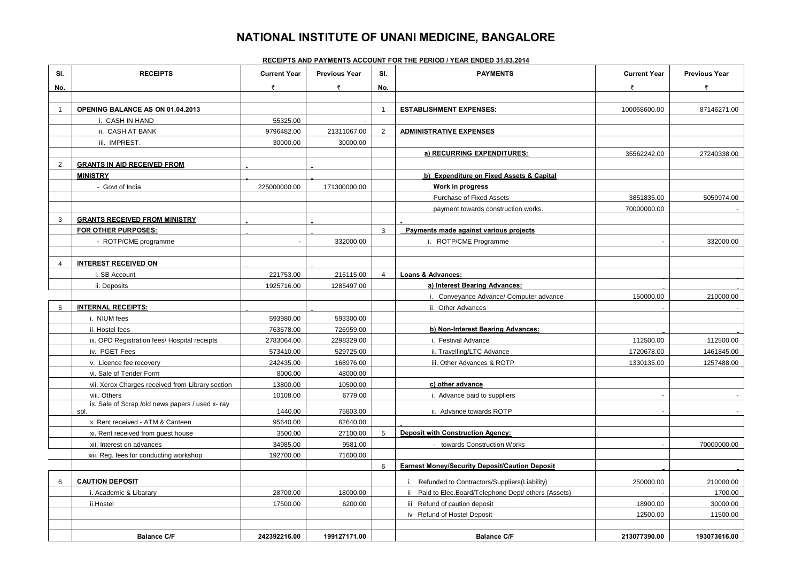# **NATIONAL INSTITUTE OF UNANI MEDICINE, BANGALORE**

#### **RECEIPTS AND PAYMENTS ACCOUNT FOR THE PERIOD / YEAR ENDED 31.03.2014**

| SI.            | <b>RECEIPTS</b>                                          | <b>Current Year</b> | <b>Previous Year</b> | SI.            | <b>PAYMENTS</b>                                       | <b>Current Year</b> | <b>Previous Year</b> |
|----------------|----------------------------------------------------------|---------------------|----------------------|----------------|-------------------------------------------------------|---------------------|----------------------|
| No.            |                                                          | ₹                   | ₹                    | No.            |                                                       | ₹                   | ₹                    |
|                |                                                          |                     |                      |                |                                                       |                     |                      |
| $\overline{1}$ | OPENING BALANCE AS ON 01.04.2013                         |                     |                      | $\overline{1}$ | <b>ESTABLISHMENT EXPENSES:</b>                        | 100068600.00        | 87146271.00          |
|                | i. CASH IN HAND                                          | 55325.00            |                      |                |                                                       |                     |                      |
|                | ii. CASH AT BANK                                         | 9796482.00          | 21311067.00          | $\overline{2}$ | <b>ADMINISTRATIVE EXPENSES</b>                        |                     |                      |
|                | iii. IMPREST.                                            | 30000.00            | 30000.00             |                |                                                       |                     |                      |
|                |                                                          |                     |                      |                | a) RECURRING EXPENDITURES:                            | 35562242.00         | 27240338.00          |
| $\overline{2}$ | <b>GRANTS IN AID RECEIVED FROM</b>                       |                     |                      |                |                                                       |                     |                      |
|                | <b>MINISTRY</b>                                          |                     |                      |                | b) Expenditure on Fixed Assets & Capital              |                     |                      |
|                | - Govt of India                                          | 225000000.00        | 171300000.00         |                | Work in progress                                      |                     |                      |
|                |                                                          |                     |                      |                | Purchase of Fixed Assets                              | 3851835.00          | 5059974.00           |
|                |                                                          |                     |                      |                | payment towards construction works.                   | 70000000.00         |                      |
| 3              | <b>GRANTS RECEIVED FROM MINISTRY</b>                     |                     |                      |                |                                                       |                     |                      |
|                | FOR OTHER PURPOSES:                                      |                     |                      | 3              | Payments made against various projects                |                     |                      |
|                | - ROTP/CME programme                                     |                     | 332000.00            |                | i. ROTP/CME Programme                                 |                     | 332000.00            |
|                |                                                          |                     |                      |                |                                                       |                     |                      |
| $\overline{4}$ | <b>INTEREST RECEIVED ON</b>                              |                     |                      |                |                                                       |                     |                      |
|                | i. SB Account                                            | 221753.00           | 215115.00            | $\overline{4}$ | Loans & Advances:                                     |                     |                      |
|                | ii. Deposits                                             | 1925716.00          | 1285497.00           |                | a) Interest Bearing Advances:                         |                     |                      |
|                |                                                          |                     |                      |                | i. Conveyance Advance/ Computer advance               | 150000.00           | 210000.00            |
| 5              | <b>INTERNAL RECEIPTS:</b>                                |                     |                      |                | ii. Other Advances                                    |                     |                      |
|                | i. NIUM fees                                             | 593980.00           | 593300.00            |                |                                                       |                     |                      |
|                | ii. Hostel fees                                          | 763678.00           | 726959.00            |                | b) Non-Interest Bearing Advances:                     |                     |                      |
|                | iii. OPD Registration fees/ Hospital receipts            | 2783064.00          | 2298329.00           |                | i. Festival Advance                                   | 112500.00           | 112500.00            |
|                | iv. PGET Fees                                            | 573410.00           | 529725.00            |                | ii. Travelling/LTC Advance                            | 1720678.00          | 1461845.00           |
|                | v. Licence fee recovery                                  | 242435.00           | 168976.00            |                | iii. Other Advances & ROTP                            | 1330135.00          | 1257488.00           |
|                | vi. Sale of Tender Form                                  | 8000.00             | 48000.00             |                |                                                       |                     |                      |
|                | vii. Xerox Charges received from Library section         | 13800.00            | 10500.00             |                | c) other advance                                      |                     |                      |
|                | viii. Others                                             | 10108.00            | 6779.00              |                | i. Advance paid to suppliers                          |                     |                      |
|                | ix. Sale of Scrap /old news papers / used x- ray<br>sol. | 1440.00             | 75803.00             |                |                                                       |                     |                      |
|                | x. Rent received - ATM & Canteen                         | 95640.00            | 62640.00             |                | ii. Advance towards ROTP                              |                     |                      |
|                | xi. Rent received from guest house                       | 3500.00             | 27100.00             | 5              | <b>Deposit with Construction Agency:</b>              |                     |                      |
|                |                                                          |                     | 9581.00              |                | - towards Construction Works                          |                     |                      |
|                | xii. Interest on advances                                | 34985.00            |                      |                |                                                       |                     | 70000000.00          |
|                | xiii. Reg. fees for conducting workshop                  | 192700.00           | 71600.00             | 6              | <b>Earnest Money/Security Deposit/Caution Deposit</b> |                     |                      |
|                |                                                          |                     |                      |                |                                                       |                     |                      |
| 6              | <b>CAUTION DEPOSIT</b>                                   |                     |                      |                | Refunded to Contractors/Suppliers(Liability)          | 250000.00           | 210000.00            |
|                | i. Academic & Libarary                                   | 28700.00            | 18000.00             |                | ii Paid to Elec.Board/Telephone Dept/ others (Assets) |                     | 1700.00              |
|                | ii.Hostel                                                | 17500.00            | 6200.00              |                | iii Refund of caution deposit                         | 18900.00            | 30000.00             |
|                |                                                          |                     |                      |                | iv Refund of Hostel Deposit                           | 12500.00            | 11500.00             |
|                |                                                          |                     |                      |                |                                                       |                     |                      |
|                | <b>Balance C/F</b>                                       | 242392216.00        | 199127171.00         |                | <b>Balance C/F</b>                                    | 213077390.00        | 193073616.00         |